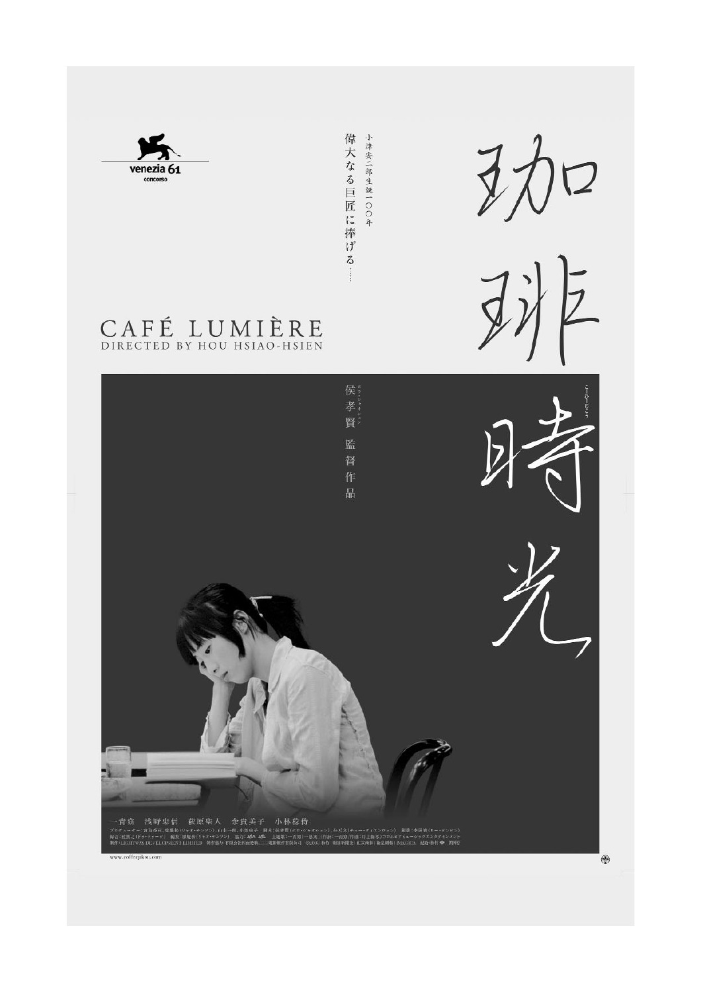

偉大なる巨匠に捧げる … 小津安二郎生誕一〇〇年





CAFÉ LUMIÈRE

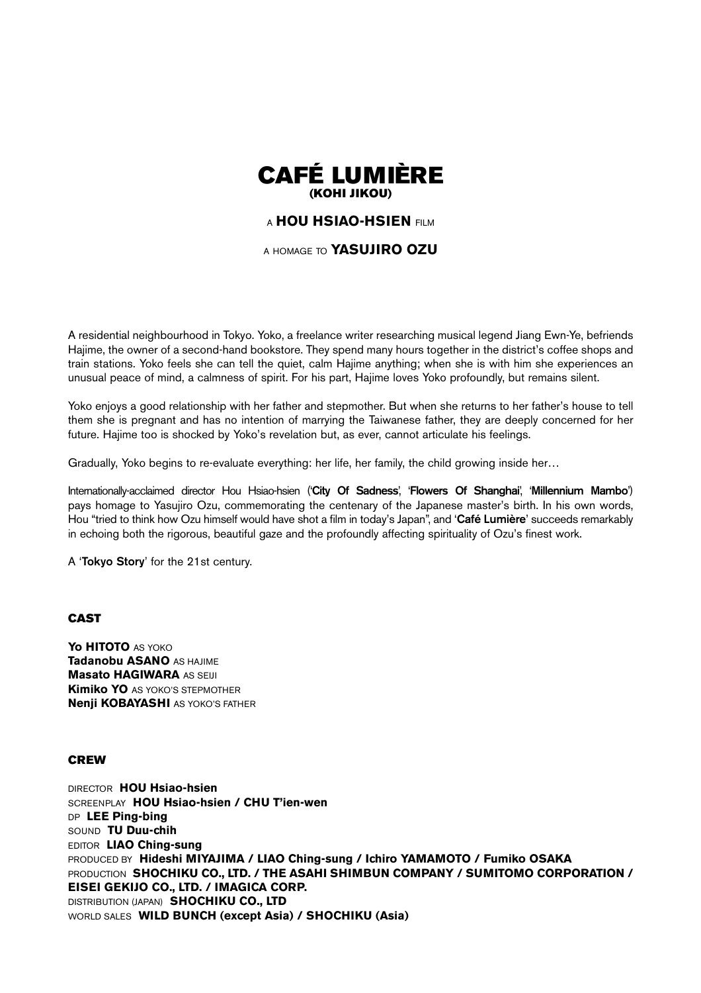

# <sup>A</sup> **HOU HSIAO-HSIEN** FILM

A HOMAGE TO **YASUJIRO OZU**

A residential neighbourhood in Tokyo. Yoko, a freelance writer researching musical legend Jiang Ewn-Ye, befriends Hajime, the owner of a second-hand bookstore. They spend many hours together in the district's coffee shops and train stations. Yoko feels she can tell the quiet, calm Hajime anything; when she is with him she experiences an unusual peace of mind, a calmness of spirit. For his part, Hajime loves Yoko profoundly, but remains silent.

Yoko enjoys a good relationship with her father and stepmother. But when she returns to her father's house to tell them she is pregnant and has no intention of marrying the Taiwanese father, they are deeply concerned for her future. Hajime too is shocked by Yoko's revelation but, as ever, cannot articulate his feelings.

Gradually, Yoko begins to re-evaluate everything: her life, her family, the child growing inside her…

Internationally-acclaimed director Hou Hsiao-hsien ('**City Of Sadness**', '**Flowers Of Shanghai**', '**Millennium Mambo**') pays homage to Yasujiro Ozu, commemorating the centenary of the Japanese master's birth. In his own words, Hou "tried to think how Ozu himself would have shot a film in today's Japan", and '**Café Lumière**' succeeds remarkably in echoing both the rigorous, beautiful gaze and the profoundly affecting spirituality of Ozu's finest work.

A '**Tokyo Story**' for the 21st century.

# **CAST**

**Yo HITOTO** AS YOKO **Tadanobu ASANO** AS HAJIME **Masato HAGIWARA AS SEUI Kimiko YO** AS YOKO'S STEPMOTHER **Nenji KOBAYASHI** AS YOKO'S FATHER

# **CREW**

DIRECTOR **HOU Hsiao-hsien** SCREENPLAY **HOU Hsiao-hsien / CHU T'ien-wen** DP **LEE Ping-bing** SOUND **TU Duu-chih** EDITOR **LIAO Ching-sung** PRODUCED BY **Hideshi MIYAJIMA / LIAO Ching-sung / Ichiro YAMAMOTO / Fumiko OSAKA PRODUCTION SHOCHIKU CO., LTD. / THE ASAHI SHIMBUN COMPANY / SUMITOMO CORPORATION / EISEI GEKIJO CO., LTD. / IMAGICA CORP.** DISTRIBUTION (JAPAN) **SHOCHIKU CO., LTD** WORLD SALES **WILD BUNCH (except Asia) / SHOCHIKU (Asia)**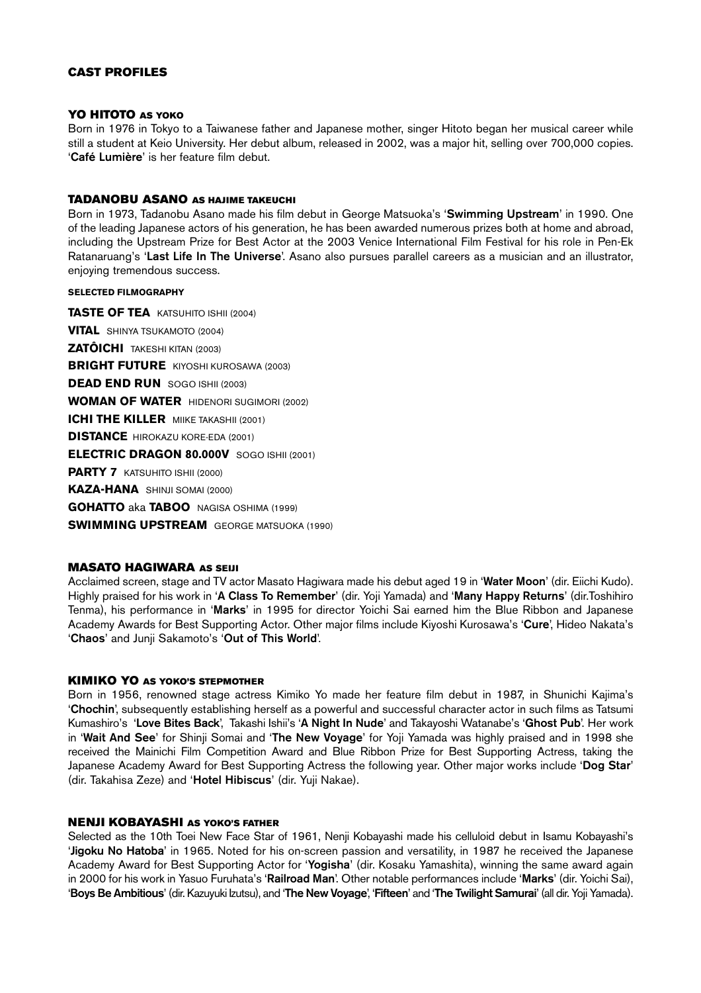# **CAST PROFILES**

# **YO HITOTO AS YOKO**

Born in 1976 in Tokyo to a Taiwanese father and Japanese mother, singer Hitoto began her musical career while still a student at Keio University. Her debut album, released in 2002, was a major hit, selling over 700,000 copies. '**Café Lumière**' is her feature film debut.

# **TADANOBU ASANO AS HAJIME TAKEUCHI**

Born in 1973, Tadanobu Asano made his film debut in George Matsuoka's '**Swimming Upstream**' in 1990. One of the leading Japanese actors of his generation, he has been awarded numerous prizes both at home and abroad, including the Upstream Prize for Best Actor at the 2003 Venice International Film Festival for his role in Pen-Ek Ratanaruang's '**Last Life In The Universe**'. Asano also pursues parallel careers as a musician and an illustrator, enjoying tremendous success.

# **SELECTED FILMOGRAPHY**

**TASTE OF TEA** KATSUHITO ISHII (2004) **VITAL** SHINYA TSUKAMOTO (2004) **ZATÔICHI** TAKESHI KITAN (2003) **BRIGHT FUTURE** KIYOSHI KUROSAWA (2003) **DEAD END RUN** SOGO ISHII (2003) **WOMAN OF WATER** HIDENORI SUGIMORI (2002) **ICHI THE KILLER MIIKE TAKASHII (2001) DISTANCE** HIROKAZU KORE-EDA (2001) **ELECTRIC DRAGON 80.000V** SOGO ISHII (2001) **PARTY 7 KATSUHITO ISHII (2000) KAZA-HANA** SHINJI SOMAI (2000) **GOHATTO** aka **TABOO** NAGISA OSHIMA (1999) **SWIMMING UPSTREAM** GEORGE MATSUOKA (1990)

# **MASATO HAGIWARA AS SEIJI**

Acclaimed screen, stage and TV actor Masato Hagiwara made his debut aged 19 in '**Water Moon**' (dir. Eiichi Kudo). Highly praised for his work in '**A Class To Remember**' (dir. Yoji Yamada) and '**Many Happy Returns**' (dir.Toshihiro Tenma), his performance in '**Marks**' in 1995 for director Yoichi Sai earned him the Blue Ribbon and Japanese Academy Awards for Best Supporting Actor. Other major films include Kiyoshi Kurosawa's '**Cure**', Hideo Nakata's '**Chaos**' and Junji Sakamoto's '**Out of This World**'.

# **KIMIKO YO AS YOKO'S STEPMOTHER**

Born in 1956, renowned stage actress Kimiko Yo made her feature film debut in 1987, in Shunichi Kajima's '**Chochin**', subsequently establishing herself as a powerful and successful character actor in such films as Tatsumi Kumashiro's '**Love Bites Back**', Takashi Ishii's '**A Night In Nude**' and Takayoshi Watanabe's '**Ghost Pub**'. Her work in '**Wait And See**' for Shinji Somai and '**The New Voyage**' for Yoji Yamada was highly praised and in 1998 she received the Mainichi Film Competition Award and Blue Ribbon Prize for Best Supporting Actress, taking the Japanese Academy Award for Best Supporting Actress the following year. Other major works include '**Dog Star**' (dir. Takahisa Zeze) and '**Hotel Hibiscus**' (dir. Yuji Nakae).

# **NENJI KOBAYASHI AS YOKO'S FATHER**

Selected as the 10th Toei New Face Star of 1961, Nenji Kobayashi made his celluloid debut in Isamu Kobayashi's '**Jigoku No Hatoba**' in 1965. Noted for his on-screen passion and versatility, in 1987 he received the Japanese Academy Award for Best Supporting Actor for '**Yogisha**' (dir. Kosaku Yamashita), winning the same award again in 2000 for his work in Yasuo Furuhata's '**Railroad Man**'. Other notable performances include '**Marks**' (dir. Yoichi Sai), '**Boys Be Ambitious**' (dir. Kazuyuki Izutsu), and '**The New Voyage**', '**Fifteen**' and '**The Twilight Samurai**' (all dir. Yoji Yamada).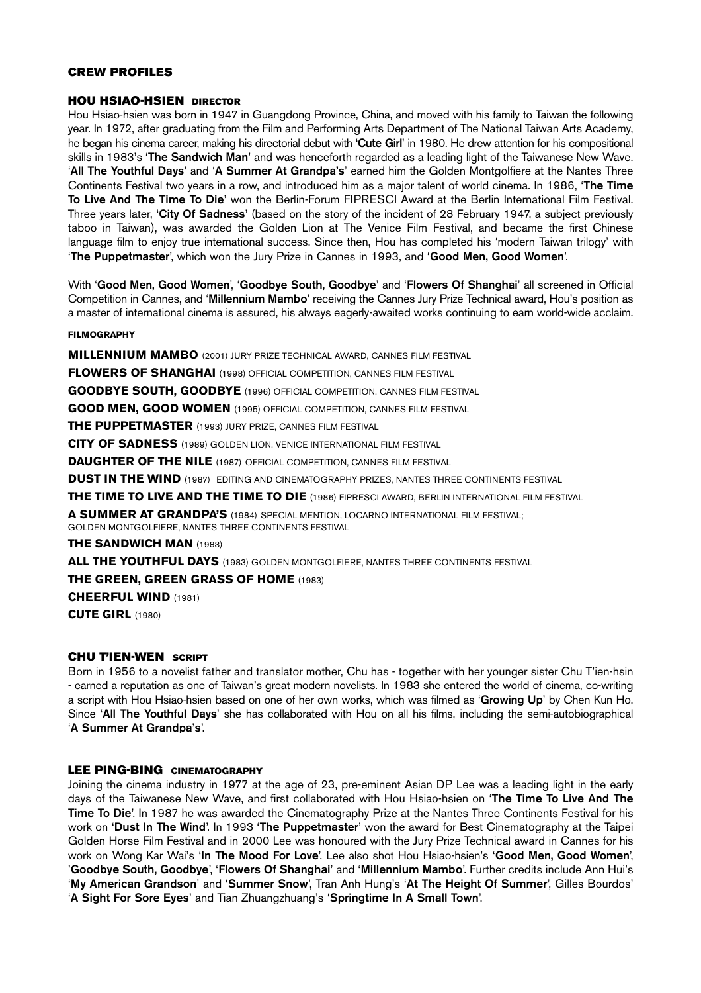# **CREW PROFILES**

#### **HOU HSIAO-HSIEN DIRECTOR**

Hou Hsiao-hsien was born in 1947 in Guangdong Province, China, and moved with his family to Taiwan the following year. In 1972, after graduating from the Film and Performing Arts Department of The National Taiwan Arts Academy, he began his cinema career, making his directorial debut with '**Cute Girl**' in 1980. He drew attention for his compositional skills in 1983's '**The Sandwich Man**' and was henceforth regarded as a leading light of the Taiwanese New Wave. '**All The Youthful Days**' and '**A Summer At Grandpa's**' earned him the Golden Montgolfiere at the Nantes Three Continents Festival two years in a row, and introduced him as a major talent of world cinema. In 1986, '**The Time To Live And The Time To Die**' won the Berlin-Forum FIPRESCI Award at the Berlin International Film Festival. Three years later, '**City Of Sadness**' (based on the story of the incident of 28 February 1947, a subject previously taboo in Taiwan), was awarded the Golden Lion at The Venice Film Festival, and became the first Chinese language film to enjoy true international success. Since then, Hou has completed his 'modern Taiwan trilogy' with '**The Puppetmaster**', which won the Jury Prize in Cannes in 1993, and '**Good Men, Good Women**'.

With '**Good Men, Good Women**', '**Goodbye South, Goodbye**' and '**Flowers Of Shanghai**' all screened in Official Competition in Cannes, and '**Millennium Mambo**' receiving the Cannes Jury Prize Technical award, Hou's position as a master of international cinema is assured, his always eagerly-awaited works continuing to earn world-wide acclaim.

#### **FILMOGRAPHY**

**MILLENNIUM MAMBO** (2001) JURY PRIZE TECHNICAL AWARD, CANNES FILM FESTIVAL **FLOWERS OF SHANGHAI** (1998) OFFICIAL COMPETITION, CANNES FILM FESTIVAL **GOODBYE SOUTH, GOODBYE** (1996) OFFICIAL COMPETITION, CANNES FILM FESTIVAL **GOOD MEN, GOOD WOMEN** (1995) OFFICIAL COMPETITION, CANNES FILM FESTIVAL **THE PUPPETMASTER** (1993) JURY PRIZE, CANNES FILM FESTIVAL **CITY OF SADNESS** (1989) GOLDEN LION, VENICE INTERNATIONAL FILM FESTIVAL **DAUGHTER OF THE NILE** (1987) OFFICIAL COMPETITION, CANNES FILM FESTIVAL **DUST IN THE WIND** (1987) EDITING AND CINEMATOGRAPHY PRIZES, NANTES THREE CONTINENTS FESTIVAL **THE TIME TO LIVE AND THE TIME TO DIE** (1986) FIPRESCI AWARD, BERLIN INTERNATIONAL FILM FESTIVAL **A SUMMER AT GRANDPA'S** (1984) SPECIAL MENTION, LOCARNO INTERNATIONAL FILM FESTIVAL; GOLDEN MONTGOLFIERE, NANTES THREE CONTINENTS FESTIVAL **THE SANDWICH MAN** (1983) **ALL THE YOUTHFUL DAYS** (1983) GOLDEN MONTGOLFIERE, NANTES THREE CONTINENTS FESTIVAL

**THE GREEN, GREEN GRASS OF HOME** (1983)

**CHEERFUL WIND** (1981)

**CUTE GIRL** (1980)

# **CHU T'IEN-WEN SCRIPT**

Born in 1956 to a novelist father and translator mother, Chu has - together with her younger sister Chu T'ien-hsin - earned a reputation as one of Taiwan's great modern novelists. In 1983 she entered the world of cinema, co-writing a script with Hou Hsiao-hsien based on one of her own works, which was filmed as '**Growing Up**' by Chen Kun Ho. Since '**All The Youthful Days**' she has collaborated with Hou on all his films, including the semi-autobiographical '**A Summer At Grandpa's**'.

# **LEE PING-BING CINEMATOGRAPHY**

Joining the cinema industry in 1977 at the age of 23, pre-eminent Asian DP Lee was a leading light in the early days of the Taiwanese New Wave, and first collaborated with Hou Hsiao-hsien on '**The Time To Live And The Time To Die**'. In 1987 he was awarded the Cinematography Prize at the Nantes Three Continents Festival for his work on '**Dust In The Wind**'. In 1993 '**The Puppetmaster**' won the award for Best Cinematography at the Taipei Golden Horse Film Festival and in 2000 Lee was honoured with the Jury Prize Technical award in Cannes for his work on Wong Kar Wai's '**In The Mood For Love**'. Lee also shot Hou Hsiao-hsien's '**Good Men, Good Women**', '**Goodbye South, Goodbye**', '**Flowers Of Shanghai**' and '**Millennium Mambo**'. Further credits include Ann Hui's '**My American Grandson**' and '**Summer Snow**', Tran Anh Hung's '**At The Height Of Summer**', Gilles Bourdos' '**A Sight For Sore Eyes**' and Tian Zhuangzhuang's '**Springtime In A Small Town**'.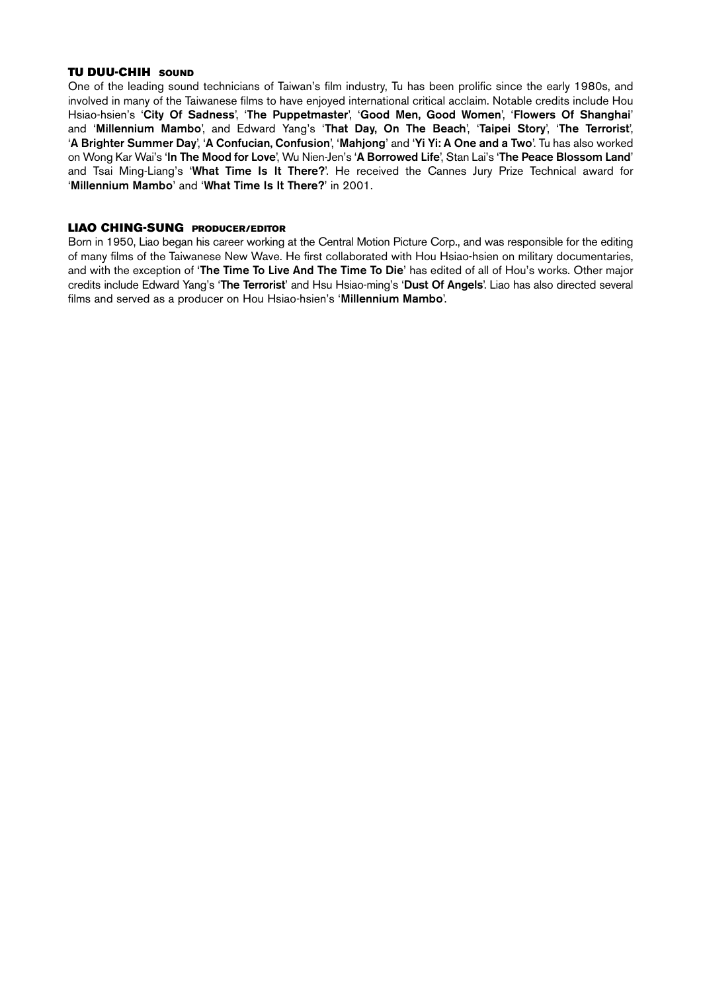#### **TU DUU-CHIH SOUND**

One of the leading sound technicians of Taiwan's film industry, Tu has been prolific since the early 1980s, and involved in many of the Taiwanese films to have enjoyed international critical acclaim. Notable credits include Hou Hsiao-hsien's '**City Of Sadness**', '**The Puppetmaster**', '**Good Men, Good Women**', '**Flowers Of Shanghai**' and '**Millennium Mambo**', and Edward Yang's '**That Day, On The Beach**', '**Taipei Story**', '**The Terrorist**', '**A Brighter Summer Day**', '**A Confucian, Confusion**', '**Mahjong**' and '**Yi Yi: A One and a Two**'. Tu has also worked on Wong Kar Wai's '**In The Mood for Love**', Wu Nien-Jen's '**A Borrowed Life**', Stan Lai's '**The Peace Blossom Land**' and Tsai Ming-Liang's '**What Time Is It There?**'. He received the Cannes Jury Prize Technical award for '**Millennium Mambo**' and '**What Time Is It There?**' in 2001.

#### **LIAO CHING-SUNG PRODUCER/EDITOR**

Born in 1950, Liao began his career working at the Central Motion Picture Corp., and was responsible for the editing of many films of the Taiwanese New Wave. He first collaborated with Hou Hsiao-hsien on military documentaries, and with the exception of '**The Time To Live And The Time To Die**' has edited of all of Hou's works. Other major credits include Edward Yang's '**The Terrorist**' and Hsu Hsiao-ming's '**Dust Of Angels**'. Liao has also directed several films and served as a producer on Hou Hsiao-hsien's '**Millennium Mambo**'.